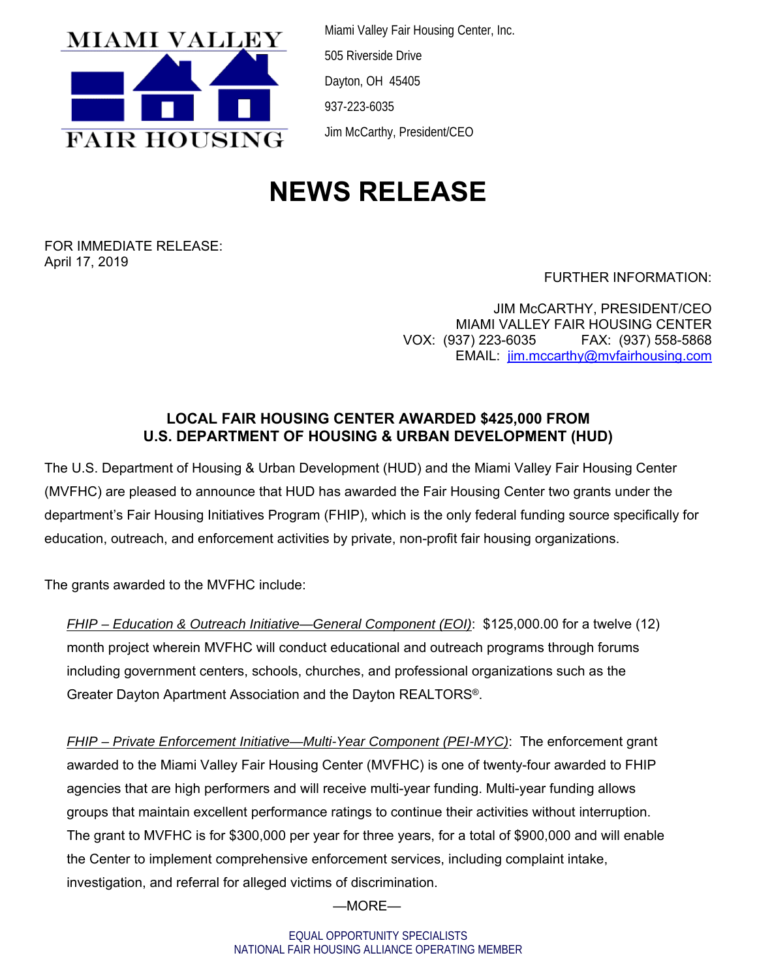

Miami Valley Fair Housing Center, Inc. 505 Riverside Drive Dayton, OH 45405 937-223-6035 Jim McCarthy, President/CEO

## **NEWS RELEASE**

FOR IMMEDIATE RELEASE: April 17, 2019

FURTHER INFORMATION:

JIM McCARTHY, PRESIDENT/CEO MIAMI VALLEY FAIR HOUSING CENTER VOX: (937) 223-6035 FAX: (937) 558-5868 EMAIL: jim.mccarthy@mvfairhousing.com

## **LOCAL FAIR HOUSING CENTER AWARDED \$425,000 FROM U.S. DEPARTMENT OF HOUSING & URBAN DEVELOPMENT (HUD)**

The U.S. Department of Housing & Urban Development (HUD) and the Miami Valley Fair Housing Center (MVFHC) are pleased to announce that HUD has awarded the Fair Housing Center two grants under the department's Fair Housing Initiatives Program (FHIP), which is the only federal funding source specifically for education, outreach, and enforcement activities by private, non-profit fair housing organizations.

The grants awarded to the MVFHC include:

*FHIP – Education & Outreach Initiative—General Component (EOI)*: \$125,000.00 for a twelve (12) month project wherein MVFHC will conduct educational and outreach programs through forums including government centers, schools, churches, and professional organizations such as the Greater Dayton Apartment Association and the Dayton REALTORS®.

*FHIP – Private Enforcement Initiative—Multi-Year Component (PEI-MYC)*: The enforcement grant awarded to the Miami Valley Fair Housing Center (MVFHC) is one of twenty-four awarded to FHIP agencies that are high performers and will receive multi-year funding. Multi-year funding allows groups that maintain excellent performance ratings to continue their activities without interruption. The grant to MVFHC is for \$300,000 per year for three years, for a total of \$900,000 and will enable the Center to implement comprehensive enforcement services, including complaint intake, investigation, and referral for alleged victims of discrimination.

—MORE—